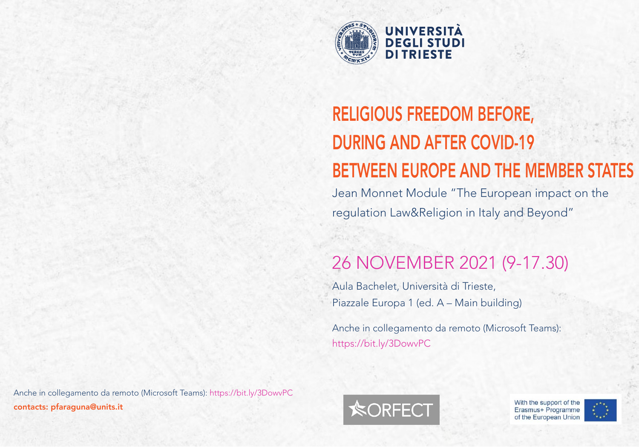

# RELIGIOUS FREEDOM BEFORE, DURING AND AFTER COVID-19 BETWEEN EUROPE AND THE MEMBER STATES

Jean Monnet Module "The European impact on the regulation Law&Religion in Italy and Beyond"

# 26 NOVEMBER 2021 (9-17.30)

Aula Bachelet, Università di Trieste, Piazzale Europa 1 (ed. A – Main building)

Anche in collegamento da remoto (Microsoft Teams): https://bit.ly/3DowvPC



With the support of the Erasmus+ Programme of the European Union



Anche in collegamento da remoto (Microsoft Teams): https://bit.ly/3DowvPC contacts: pfaraguna@units.it